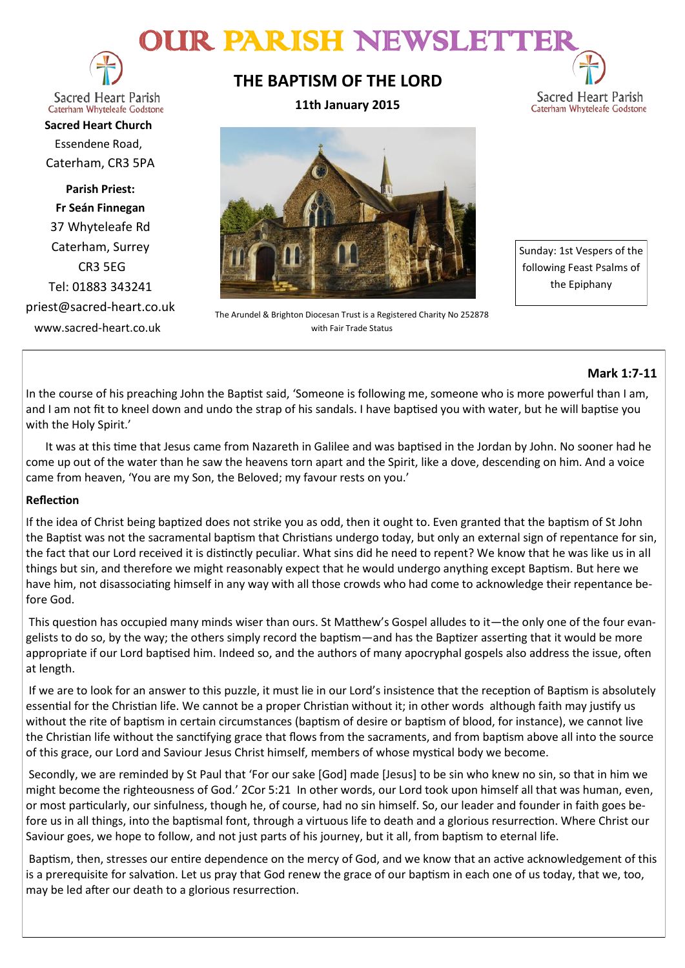# OUR PARISH NEWSLETT



**Sacred Heart Parish** Caterham Whyteleafe Godstone

**Sacred Heart Church** Essendene Road, Caterham, CR3 5PA

**Parish Priest: Fr Seán Finnegan** 37 Whyteleafe Rd Caterham, Surrey CR3 5EG Tel: 01883 343241 priest@sacred-heart.co.uk www.sacred-heart.co.uk

# **THE BAPTISM OF THE LORD**

**11th January 2015**



The Arundel & Brighton Diocesan Trust is a Registered Charity No 252878 with Fair Trade Status

Sunday: 1st Vespers of the following Feast Psalms of the Epiphany

Sacred Heart Parish Caterham Whyteleafe Godstone

## **Mark 1:7-11**

In the course of his preaching John the Baptist said, 'Someone is following me, someone who is more powerful than I am, and I am not fit to kneel down and undo the strap of his sandals. I have baptised you with water, but he will baptise you with the Holy Spirit.'

 It was at this time that Jesus came from Nazareth in Galilee and was baptised in the Jordan by John. No sooner had he come up out of the water than he saw the heavens torn apart and the Spirit, like a dove, descending on him. And a voice came from heaven, 'You are my Son, the Beloved; my favour rests on you.'

## **Reflection**

If the idea of Christ being baptized does not strike you as odd, then it ought to. Even granted that the baptism of St John the Baptist was not the sacramental baptism that Christians undergo today, but only an external sign of repentance for sin, the fact that our Lord received it is distinctly peculiar. What sins did he need to repent? We know that he was like us in all things but sin, and therefore we might reasonably expect that he would undergo anything except Baptism. But here we have him, not disassociating himself in any way with all those crowds who had come to acknowledge their repentance before God.

This question has occupied many minds wiser than ours. St Matthew's Gospel alludes to it—the only one of the four evangelists to do so, by the way; the others simply record the baptism—and has the Baptizer asserting that it would be more appropriate if our Lord baptised him. Indeed so, and the authors of many apocryphal gospels also address the issue, often at length.

If we are to look for an answer to this puzzle, it must lie in our Lord's insistence that the reception of Baptism is absolutely essential for the Christian life. We cannot be a proper Christian without it; in other words although faith may justify us without the rite of baptism in certain circumstances (baptism of desire or baptism of blood, for instance), we cannot live the Christian life without the sanctifying grace that flows from the sacraments, and from baptism above all into the source of this grace, our Lord and Saviour Jesus Christ himself, members of whose mystical body we become.

Secondly, we are reminded by St Paul that 'For our sake [God] made [Jesus] to be sin who knew no sin, so that in him we might become the righteousness of God.' 2Cor 5:21 In other words, our Lord took upon himself all that was human, even, or most particularly, our sinfulness, though he, of course, had no sin himself. So, our leader and founder in faith goes before us in all things, into the baptismal font, through a virtuous life to death and a glorious resurrection. Where Christ our Saviour goes, we hope to follow, and not just parts of his journey, but it all, from baptism to eternal life.

Baptism, then, stresses our entire dependence on the mercy of God, and we know that an active acknowledgement of this is a prerequisite for salvation. Let us pray that God renew the grace of our baptism in each one of us today, that we, too, may be led after our death to a glorious resurrection.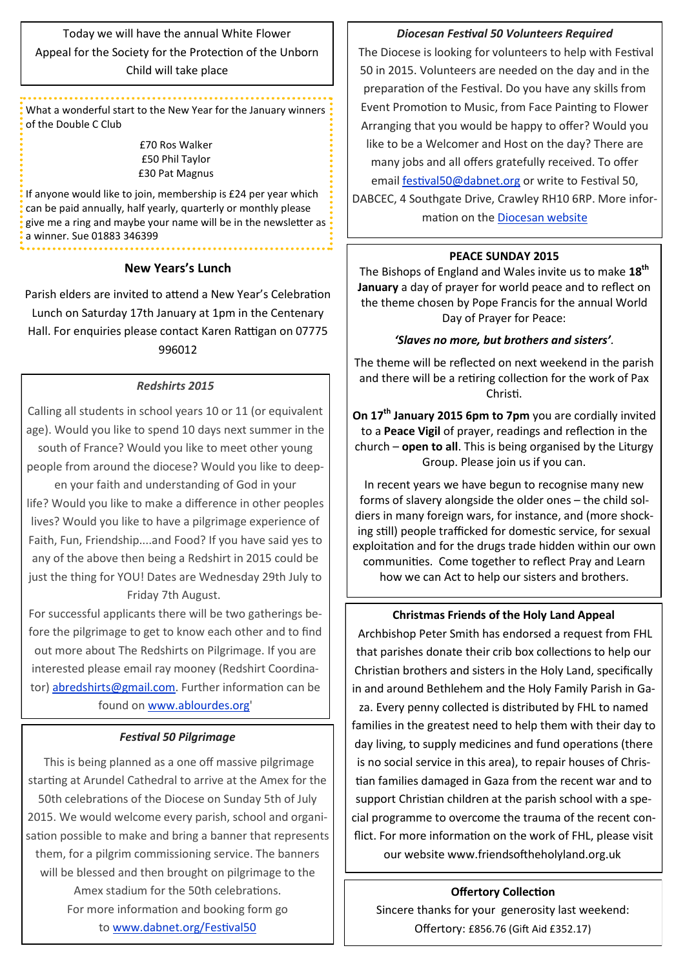Today we will have the annual White Flower Appeal for the Society for the Protection of the Unborn Child will take place

What a wonderful start to the New Year for the January winners of the Double C Club

> £70 Ros Walker £50 Phil Taylor £30 Pat Magnus

If anyone would like to join, membership is £24 per year which can be paid annually, half yearly, quarterly or monthly please give me a ring and maybe your name will be in the newsletter as a winner. Sue 01883 346399

#### **New Years's Lunch**

Parish elders are invited to attend a New Year's Celebration Lunch on Saturday 17th January at 1pm in the Centenary Hall. For enquiries please contact Karen Rattigan on 07775 996012

#### *Redshirts 2015*

Calling all students in school years 10 or 11 (or equivalent age). Would you like to spend 10 days next summer in the south of France? Would you like to meet other young people from around the diocese? Would you like to deep-

en your faith and understanding of God in your life? Would you like to make a difference in other peoples lives? Would you like to have a pilgrimage experience of Faith, Fun, Friendship....and Food? If you have said yes to any of the above then being a Redshirt in 2015 could be just the thing for YOU! Dates are Wednesday 29th July to Friday 7th August.

For successful applicants there will be two gatherings before the pilgrimage to get to know each other and to find out more about The Redshirts on Pilgrimage. If you are interested please email ray mooney (Redshirt Coordinator) [abredshirts@gmail.com.](mailto:abredshirts@gmail.com?subject=Redshirts%202015) Further information can be found on [www.ablourdes.org'](http://x4io.mjt.lu/link/x4io/vg9ksx0/18/gcddpon702wDinbH1cv78A/aHR0cDovL3d3dy5hYmxvdXJkZXMub3JnLw)

#### *Festival 50 Pilgrimage*

This is being planned as a one off massive pilgrimage starting at Arundel Cathedral to arrive at the Amex for the 50th celebrations of the Diocese on Sunday 5th of July 2015. We would welcome every parish, school and organisation possible to make and bring a banner that represents them, for a pilgrim commissioning service. The banners will be blessed and then brought on pilgrimage to the Amex stadium for the 50th celebrations. For more information and booking form go to [www.dabnet.org/Festival50](http://x4io.mjt.lu/link/x4io/vg9ksx0/14/u6eDfTMjNiy07tbvqUj7Qg/aHR0cDovL3d3dy5kYWJuZXQub3JnL0Zlc3RpdmFsNTA)

### *Diocesan Festival 50 Volunteers Required*

The Diocese is looking for volunteers to help with Festival 50 in 2015. Volunteers are needed on the day and in the preparation of the Festival. Do you have any skills from Event Promotion to Music, from Face Painting to Flower Arranging that you would be happy to offer? Would you like to be a Welcomer and Host on the day? There are many jobs and all offers gratefully received. To offer email [festival50@dabnet.org](mailto:festival@dabnet.org?subject=Festival%20Volunteer) or write to Festival 50, DABCEC, 4 Southgate Drive, Crawley RH10 6RP. More information on the [Diocesan website](http://x4io.mjt.lu/link/x4io/vg9ksx0/12/ggdyWRm6fxsB3KNU2q0kEw/aHR0cDovL3d3dy5hYmRpb2Nlc2Uub3JnLnVrL2Zlc3RpdmFsNTA)

#### **PEACE SUNDAY 2015**

The Bishops of England and Wales invite us to make **18th January** a day of prayer for world peace and to reflect on the theme chosen by Pope Francis for the annual World Day of Prayer for Peace:

#### *'Slaves no more, but brothers and sisters'.*

The theme will be reflected on next weekend in the parish and there will be a retiring collection for the work of Pax Christi.

**On 17th January 2015 6pm to 7pm** you are cordially invited to a **Peace Vigil** of prayer, readings and reflection in the church – **open to all**. This is being organised by the Liturgy Group. Please join us if you can.

In recent years we have begun to recognise many new forms of slavery alongside the older ones – the child soldiers in many foreign wars, for instance, and (more shocking still) people trafficked for domestic service, for sexual exploitation and for the drugs trade hidden within our own communities. Come together to reflect Pray and Learn how we can Act to help our sisters and brothers.

#### **Christmas Friends of the Holy Land Appeal**

Archbishop Peter Smith has endorsed a request from FHL that parishes donate their crib box collections to help our Christian brothers and sisters in the Holy Land, specifically in and around Bethlehem and the Holy Family Parish in Gaza. Every penny collected is distributed by FHL to named families in the greatest need to help them with their day to day living, to supply medicines and fund operations (there is no social service in this area), to repair houses of Christian families damaged in Gaza from the recent war and to support Christian children at the parish school with a special programme to overcome the trauma of the recent conflict. For more information on the work of FHL, please visit our website www.friendsoftheholyland.org.uk

#### **Offertory Collection**

Sincere thanks for your generosity last weekend: Offertory: £856.76 (Gift Aid £352.17)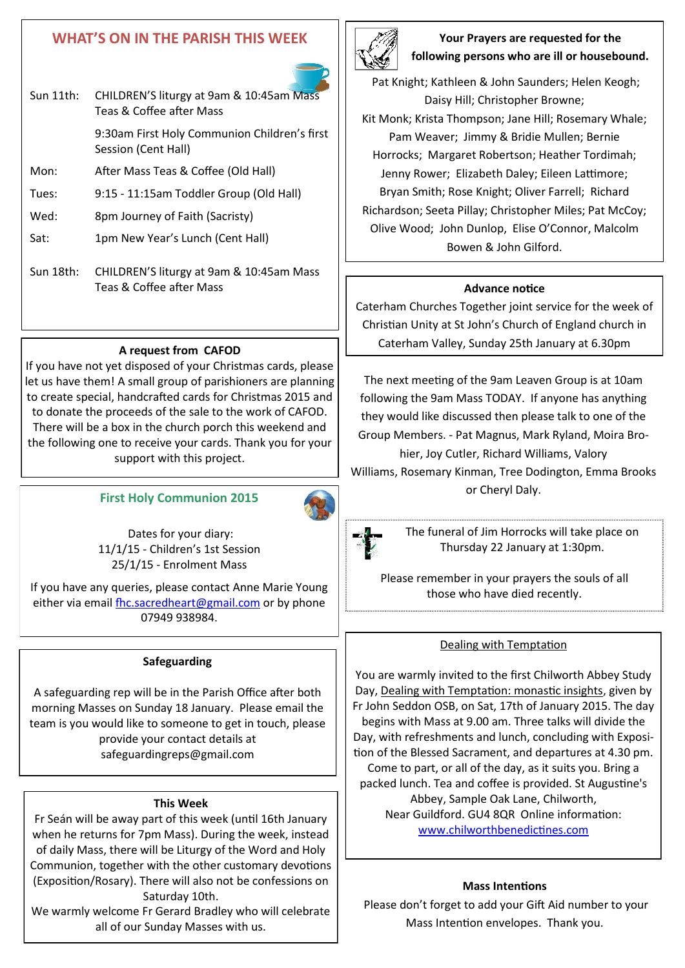## **WHAT'S ON IN THE PARISH THIS WEEK**

Sun 11th: CHILDREN'S liturgy at 9am & 10:45am Mass Teas & Coffee after Mass

Session (Cent Hall)

Wed: 8pm Journey of Faith (Sacristy)

Sat: 1pm New Year's Lunch (Cent Hall)

Mon: After Mass Teas & Coffee (Old Hall)

Tues: 9:15 - 11:15am Toddler Group (Old Hall)

9:30am First Holy Communion Children's first



**Your Prayers are requested for the following persons who are ill or housebound.** 

Pat Knight; Kathleen & John Saunders; Helen Keogh; Daisy Hill; Christopher Browne; Kit Monk; Krista Thompson; Jane Hill; Rosemary Whale; Pam Weaver; Jimmy & Bridie Mullen; Bernie Horrocks; Margaret Robertson; Heather Tordimah; Jenny Rower; Elizabeth Daley; Eileen Lattimore; Bryan Smith; Rose Knight; Oliver Farrell; Richard Richardson; Seeta Pillay; Christopher Miles; Pat McCoy; Olive Wood; John Dunlop, Elise O'Connor, Malcolm Bowen & John Gilford.

#### **Advance notice**

Caterham Churches Together joint service for the week of Christian Unity at St John's Church of England church in Caterham Valley, Sunday 25th January at 6.30pm

The next meeting of the 9am Leaven Group is at 10am following the 9am Mass TODAY. If anyone has anything they would like discussed then please talk to one of the Group Members. - Pat Magnus, Mark Ryland, Moira Brohier, Joy Cutler, Richard Williams, Valory

Williams, Rosemary Kinman, Tree Dodington, Emma Brooks or Cheryl Daly.



The funeral of Jim Horrocks will take place on Thursday 22 January at 1:30pm.

Please remember in your prayers the souls of all those who have died recently.

#### Dealing with Temptation

You are warmly invited to the first Chilworth Abbey Study Day, Dealing with Temptation: monastic insights, given by Fr John Seddon OSB, on Sat, 17th of January 2015. The day begins with Mass at 9.00 am. Three talks will divide the Day, with refreshments and lunch, concluding with Exposition of the Blessed Sacrament, and departures at 4.30 pm. Come to part, or all of the day, as it suits you. Bring a packed lunch. Tea and coffee is provided. St Augustine's Abbey, Sample Oak Lane, Chilworth, Near Guildford. GU4 8QR Online information: [www.chilworthbenedictines.com](http://www.chilworthbenedictines.com)

#### **Mass Intentions**

Please don't forget to add your Gift Aid number to your Mass Intention envelopes. Thank you.

## **A request from CAFOD**

Sun 18th: CHILDREN'S liturgy at 9am & 10:45am Mass Teas & Coffee after Mass

If you have not yet disposed of your Christmas cards, please let us have them! A small group of parishioners are planning to create special, handcrafted cards for Christmas 2015 and to donate the proceeds of the sale to the work of CAFOD. There will be a box in the church porch this weekend and the following one to receive your cards. Thank you for your support with this project.

## **First Holy Communion 2015**



Dates for your diary: 11/1/15 - Children's 1st Session 25/1/15 - Enrolment Mass

If you have any queries, please contact Anne Marie Young either via email [fhc.sacredheart@gmail.com](mailto:fhc.sacredheart@gmail.com) or by phone 07949 938984.

#### **Safeguarding**

A safeguarding rep will be in the Parish Office after both morning Masses on Sunday 18 January. Please email the team is you would like to someone to get in touch, please provide your contact details at safeguardingreps@gmail.com

#### **This Week**

Fr Seán will be away part of this week (until 16th January when he returns for 7pm Mass). During the week, instead of daily Mass, there will be Liturgy of the Word and Holy Communion, together with the other customary devotions (Exposition/Rosary). There will also not be confessions on Saturday 10th.

We warmly welcome Fr Gerard Bradley who will celebrate all of our Sunday Masses with us.